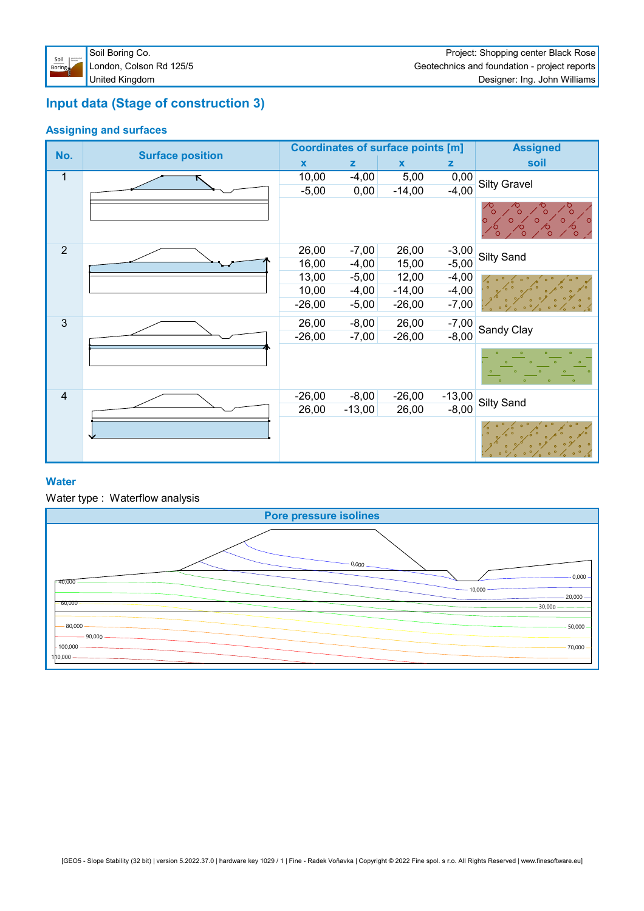## ,QSXWGDWD 6 WDUHRIFRQWWWFWLRQ

### \$ VVLJ QLQJDQG VXUDFHV

| 1R | 6 XUDFH SRVIMRQ | & RRUGLODMM/ RIVXUDFH SRLOW >P @ | \$WIJQHG<br><b>VRIO</b>                                                       |
|----|-----------------|----------------------------------|-------------------------------------------------------------------------------|
|    |                 |                                  | 6 LON <sup>*</sup> UDYHO                                                      |
|    |                 |                                  | $\circ$<br>$\circ$<br>$\circ$<br>$\Omega$<br>$\circ$ 0<br>$\circ$<br>$\delta$ |
|    |                 |                                  | 6LOW 6DQG                                                                     |
|    |                 |                                  |                                                                               |
|    |                 |                                  | 6DQG & <b>O</b> \                                                             |
|    |                 |                                  | $\bullet$                                                                     |
|    |                 |                                  | 6LOW 6DOG                                                                     |
|    |                 |                                  |                                                                               |

### : DWHU

: DWHUWSH : DWHUGRZDQDOVLV

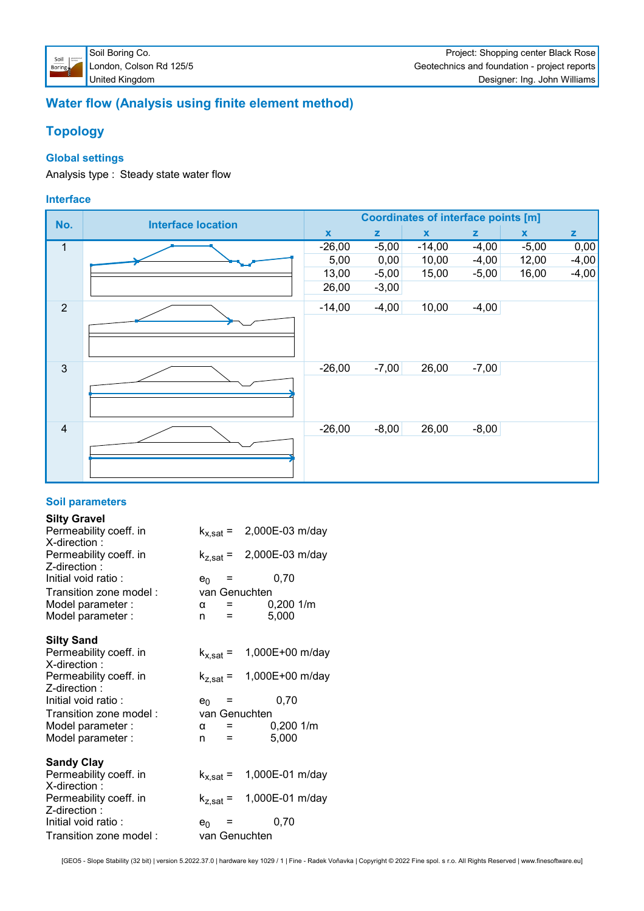# : DWHUIGRZ \$QDO\VLVXVLQJILQLWHOHPHQWPHWKRG

7RSRORJ\

\*OREDOVHWLQJV

### \$QDO\VLVW\SH 6WHDG\ VWDWHZDWHUIORZ

### , QMUDFH



### **6 RLOSDUDP HMW**

| 6LOW * UDYHO                |                  |      |
|-----------------------------|------------------|------|
| <b>3 HUP HDELOW FRHILIQ</b> | N vow            | ΡŒΛ  |
| : GLUHFWIRQ                 |                  |      |
| 3 HUP HDELOW FRHILO         | N vow            | ΡŒΛ  |
| = GUHFWRQ                   |                  |      |
| , QUIDO ARIG UDUR           | н                |      |
| 7 UDQMURQ] RCH PRGHO        | YDQ* HQXFKWNQ    |      |
| 0 RGHOSDUDP HMHU            |                  | P    |
| 0 RGHOSDUDP HMU             | Q                |      |
|                             |                  |      |
| 6LOW 6DQG                   |                  |      |
| 3 HUP HDELOW FRHIL LQ       | N <sub>VDW</sub> | ΡŒΛ  |
| ; GUHFWRQ                   |                  |      |
| 3 HUP HDELOW FRHILD.        | N <sub>VDW</sub> | ΡŒΛ  |
| = GUHFWRO                   |                  |      |
| , QUIDO ARIG UDUR           | н                |      |
| 7 UDQMURQ RQHP RGHO         | YDQ* HQXFKWNQ    |      |
| 0 RGHOSDUDP HMHU            |                  | Р    |
| 0 RGHOSDUDP HMHU            | O                |      |
|                             |                  |      |
| 6DQG & ODA                  |                  |      |
| 3 HUP HDELOW FRHILD.        | N <sub>VDW</sub> | ΡŒΛ  |
| : GUHFWRQ                   |                  |      |
| <b>3 HUP HDELOW FRHILIQ</b> | N vow            | P GD |
| = GUHFWRQ                   |                  |      |
| , QUIDO RIGUDUR             | н                |      |
| 7 UDQMURQ RQH PRGHO         | YDQ* HOXFKWHQ    |      |
|                             |                  |      |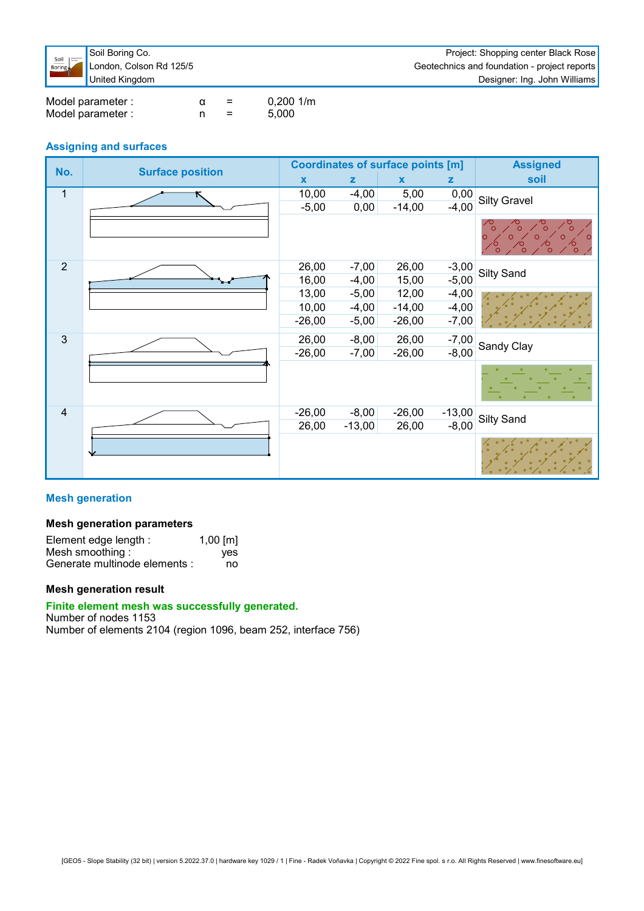| <del>.</del>     |  |  |  |  |
|------------------|--|--|--|--|
| / ROGRO & ROKQ5G |  |  |  |  |
| 8 QUMG. LQUGRP   |  |  |  |  |
|                  |  |  |  |  |

 $\mathsf Q$ 

# \$ WIJ QIQJ DQG VXUDFHV

0 RGHOSDUDP HMU

0 RGHOSDUDP HMU

| 1R | <b>6 XUDFH SRVIMRQ</b> | & RRUGLODMM/ RIVXUDFH SRLOW + @ | \$WUQHG<br><b>VRIO</b>                                                                                                                  |
|----|------------------------|---------------------------------|-----------------------------------------------------------------------------------------------------------------------------------------|
|    |                        |                                 | 6LOW* UDYHO                                                                                                                             |
|    |                        |                                 | $\delta_{\rm o}$<br>$\circ$<br>$\circ$<br>$\sqrt{\circ}$<br>$\sim$ 0<br>$\circ$<br>$\frac{1}{\sqrt{2}}$<br>$\delta$<br>$\delta_{\rm o}$ |
|    |                        |                                 | 6LOW 6DQG                                                                                                                               |
|    |                        |                                 |                                                                                                                                         |
|    |                        |                                 | 6DQG & <b>O</b> \                                                                                                                       |
|    |                        |                                 |                                                                                                                                         |
|    |                        |                                 | 6LOW 6DQG                                                                                                                               |
|    |                        |                                 |                                                                                                                                         |

 $\mathsf P$ 

### 0 HVK J HOHUMARO

| 0 HVK JHQHUDANRQ SDUDPHMMUV |  |
|-----------------------------|--|
|-----------------------------|--|

| (OP HOVHGJH OHOJWK           | $\mathcal{P}$ @ |
|------------------------------|-----------------|
| 0 HWK VP RRWAIQJ             | ∖HV             |
| * HOHUDWH P XQMORGH HOPP HOW | <b>GR</b>       |

### 0 HWK JHQHUDAIRQ UHVXOW

#### ) LOUM HOP HOVP HVK Z DV VXFFHVVIXO J HOHLDWHG 1 XP EHURI QRGHV 1 XP EHURI HOIP HOW **EHDP IQMUDFH UHJIRQ**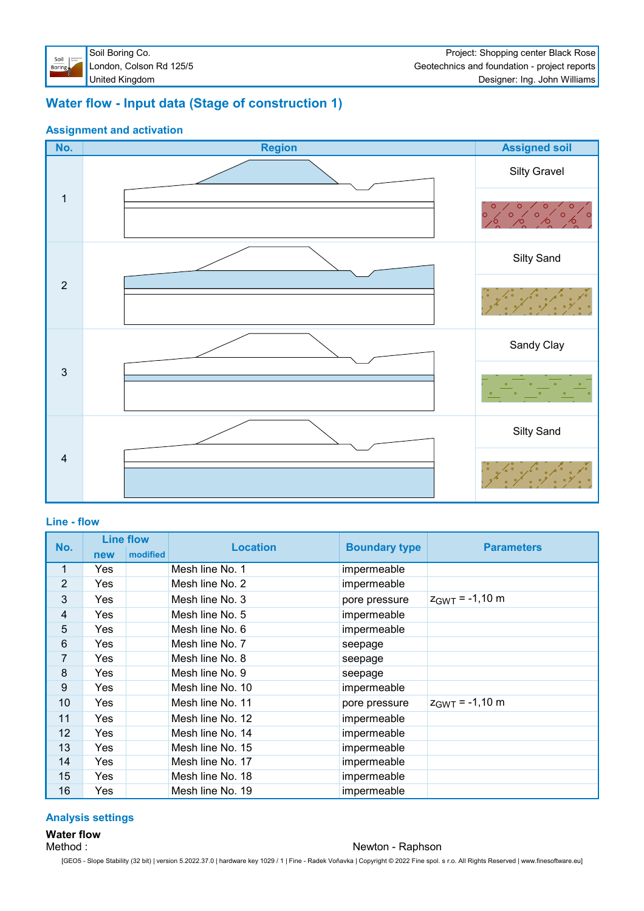# : DMMUIORZ , QSXWGDWD 6 WDU HRIFRQWWXFWRQ

### \$ WIJ OP HOWDOG DFWYDWRO



### $/$  LQH  $IRZ$

| 1R |                                                                                                                           | $/$ LQHIORZ | / RFDARQ            | <b>%RXQGDU WSH</b>   |                    | <b>3 DUDP HMUV</b> |
|----|---------------------------------------------------------------------------------------------------------------------------|-------------|---------------------|----------------------|--------------------|--------------------|
|    | QHZ                                                                                                                       | P RGILHG    |                     |                      |                    |                    |
|    | $<$ HV                                                                                                                    |             | $0$ HMK $@$ H $1$ R | <b>IP SHIP HDEOH</b> |                    |                    |
|    | $<$ HV                                                                                                                    |             | $0$ HMK $@$ H $1$ R | <b>IP SHIP HDEON</b> |                    |                    |
|    | $<$ HV                                                                                                                    |             | $0$ HMK $@$ CH 1 R  | <b>SRUH SUHVYXUH</b> | $] \cdot : 7$      | P                  |
|    | $<$ HV                                                                                                                    |             | $0$ HMK CCH 1 R     | IP SHUP HDEOH        |                    |                    |
|    | $<$ HV                                                                                                                    |             | $0$ HMK CCH 1 R     | <b>IP SHIP HDEOH</b> |                    |                    |
|    | $<$ HV                                                                                                                    |             | $0$ HMK $@$ H $1$ R | VHHSDJH              |                    |                    |
|    | $<$ HV                                                                                                                    |             | $0$ HMK OCH 1 R     | VHHSDJH              |                    |                    |
|    | <hv< th=""><th></th><th><math>0</math> HMK <math>@</math> H <math>1</math> R</th><th>VHHSDJH</th><th></th><th></th></hv<> |             | $0$ HMK $@$ H $1$ R | VHHSDJH              |                    |                    |
|    | $<$ HV                                                                                                                    |             | $0$ HMK OCH 1 R     | IP SHUP HDEOH        |                    |                    |
|    | $<$ HV                                                                                                                    |             | $0$ HMK $@$ H $1$ R | <b>SRUH SUHVYXUH</b> | $\mathbf{I}^*$ : 7 | P                  |
|    | $<$ HV                                                                                                                    |             | $0$ HMK OCH 1 R     | <b>IP SHIP HDEON</b> |                    |                    |
|    | $<$ HV                                                                                                                    |             | $0$ HMK $@$ H $1$ R | IP SHUP HDEOH        |                    |                    |
|    | $<$ HV                                                                                                                    |             | $0$ HMK $@$ H $1$ R | <b>IP SHIP HDEON</b> |                    |                    |
|    | $<$ HV                                                                                                                    |             | $0$ HMK OCH 1 R     | <b>IP SHIP HDEON</b> |                    |                    |
|    | $<$ HV                                                                                                                    |             | $0$ HMK OCH 1 R     | IP SHUP HDEOH        |                    |                    |
|    | $<$ HV                                                                                                                    |             | $0$ HMK $@$ CH 1 R  | <b>IP SHIP HDEON</b> |                    |                    |

### \$ QDO VLV VHMMQJ V

### $:$  DMMUIGRZ

0 HMRG